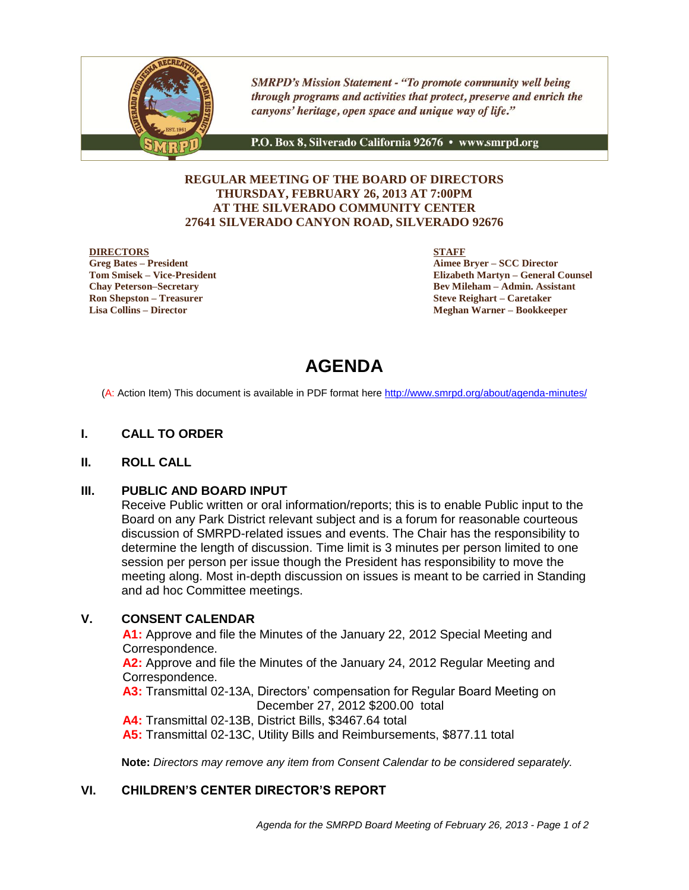

**SMRPD's Mission Statement - "To promote community well being** through programs and activities that protect, preserve and enrich the canyons' heritage, open space and unique way of life."

P.O. Box 8, Silverado California 92676 · www.smrpd.org

#### **REGULAR MEETING OF THE BOARD OF DIRECTORS THURSDAY, FEBRUARY 26, 2013 AT 7:00PM AT THE SILVERADO COMMUNITY CENTER 27641 SILVERADO CANYON ROAD, SILVERADO 92676**

#### **DIRECTORS**

**Greg Bates – President Tom Smisek – Vice-President Chay Peterson–Secretary Ron Shepston – Treasurer Lisa Collins – Director**

**STAFF**

**Aimee Bryer – SCC Director Elizabeth Martyn – General Counsel Bev Mileham – Admin. Assistant Steve Reighart – Caretaker Meghan Warner – Bookkeeper**

# **AGENDA**

(A: Action Item) This document is available in PDF format here <http://www.smrpd.org/>about/agenda-minutes/

#### **I. CALL TO ORDER**

#### **II. ROLL CALL**

#### **III. PUBLIC AND BOARD INPUT**

Receive Public written or oral information/reports; this is to enable Public input to the Board on any Park District relevant subject and is a forum for reasonable courteous discussion of SMRPD-related issues and events. The Chair has the responsibility to determine the length of discussion. Time limit is 3 minutes per person limited to one session per person per issue though the President has responsibility to move the meeting along. Most in-depth discussion on issues is meant to be carried in Standing and ad hoc Committee meetings.

## **V. CONSENT CALENDAR**

**A1:** Approve and file the Minutes of the January 22, 2012 Special Meeting and Correspondence.

**A2:** Approve and file the Minutes of the January 24, 2012 Regular Meeting and Correspondence.

**A3:** Transmittal 02-13A, Directors' compensation for Regular Board Meeting on December 27, 2012 \$200.00 total

**A4:** Transmittal 02-13B, District Bills, \$3467.64 total

**A5:** Transmittal 02-13C, Utility Bills and Reimbursements, \$877.11 total

**Note:** *Directors may remove any item from Consent Calendar to be considered separately.*

#### **VI. CHILDREN'S CENTER DIRECTOR'S REPORT**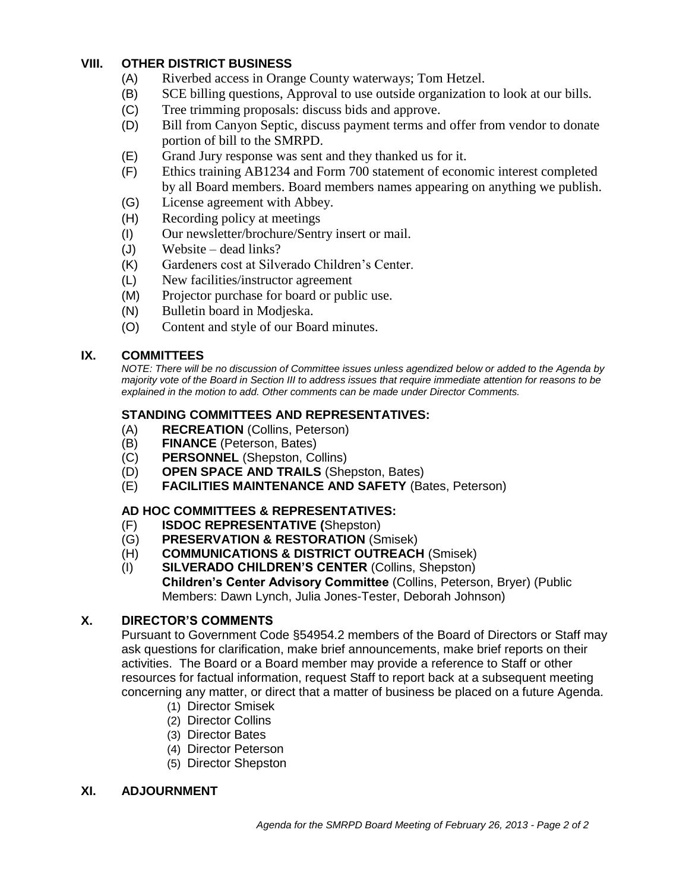## **VIII. OTHER DISTRICT BUSINESS**

- (A) Riverbed access in Orange County waterways; Tom Hetzel.
- (B) SCE billing questions, Approval to use outside organization to look at our bills.
- (C) Tree trimming proposals: discuss bids and approve.
- (D) Bill from Canyon Septic, discuss payment terms and offer from vendor to donate portion of bill to the SMRPD.
- (E) Grand Jury response was sent and they thanked us for it.
- (F) Ethics training AB1234 and Form 700 statement of economic interest completed by all Board members. Board members names appearing on anything we publish.
- (G) License agreement with Abbey.
- (H) Recording policy at meetings
- (I) Our newsletter/brochure/Sentry insert or mail.
- (J) Website dead links?
- (K) Gardeners cost at Silverado Children's Center.
- (L) New facilities/instructor agreement
- (M) Projector purchase for board or public use.
- (N) Bulletin board in Modjeska.
- (O) Content and style of our Board minutes.

### **IX. COMMITTEES**

*NOTE: There will be no discussion of Committee issues unless agendized below or added to the Agenda by majority vote of the Board in Section III to address issues that require immediate attention for reasons to be explained in the motion to add. Other comments can be made under Director Comments.*

## **STANDING COMMITTEES AND REPRESENTATIVES:**

- (A) **RECREATION** (Collins, Peterson)
- (B) **FINANCE** (Peterson, Bates)
- (C) **PERSONNEL** (Shepston, Collins)
- (D) **OPEN SPACE AND TRAILS** (Shepston, Bates)
- (E) **FACILITIES MAINTENANCE AND SAFETY** (Bates, Peterson)

## **AD HOC COMMITTEES & REPRESENTATIVES:**

- (F) **ISDOC REPRESENTATIVE (**Shepston)
- (G) **PRESERVATION & RESTORATION** (Smisek)
- (H) **COMMUNICATIONS & DISTRICT OUTREACH** (Smisek)
- (I) **SILVERADO CHILDREN'S CENTER** (Collins, Shepston) **Children's Center Advisory Committee** (Collins, Peterson, Bryer) (Public Members: Dawn Lynch, Julia Jones-Tester, Deborah Johnson)

## **X. DIRECTOR'S COMMENTS**

Pursuant to Government Code §54954.2 members of the Board of Directors or Staff may ask questions for clarification, make brief announcements, make brief reports on their activities. The Board or a Board member may provide a reference to Staff or other resources for factual information, request Staff to report back at a subsequent meeting concerning any matter, or direct that a matter of business be placed on a future Agenda.

- (1) Director Smisek
- (2) Director Collins
- (3) Director Bates
- (4) Director Peterson
- (5) Director Shepston

### **XI. ADJOURNMENT**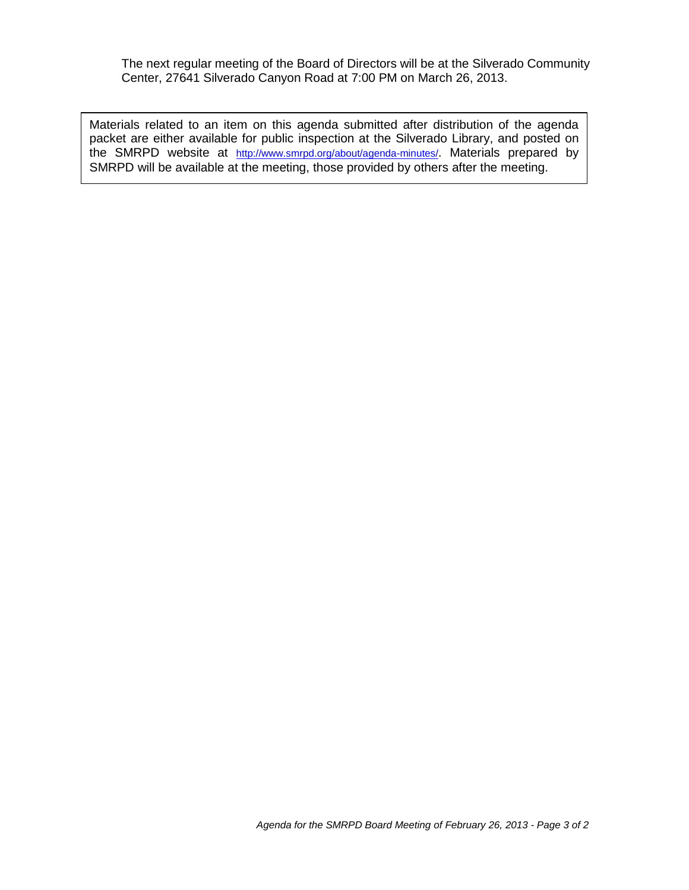The next regular meeting of the Board of Directors will be at the Silverado Community Center, 27641 Silverado Canyon Road at 7:00 PM on March 26, 2013.

Materials related to an item on this agenda submitted after distribution of the agenda packet are either available for public inspection at the Silverado Library, and posted on the SMRPD website at <http://www.smrpd.org/>about/agenda-minutes/. Materials prepared by SMRPD will be available at the meeting, those provided by others after the meeting.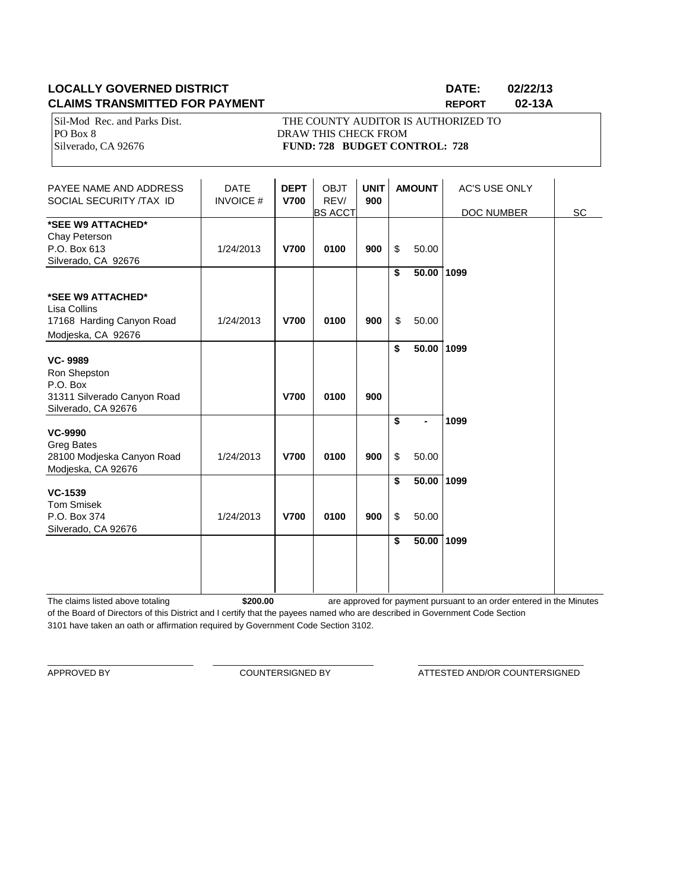### **LOCALLY GOVERNED DISTRICT DATE: 02/22/13 CLAIMS TRANSMITTED FOR PAYMENT REPORT 02-13A**

PO Box 8 DRAW THIS CHECK FROM

Sil-Mod Rec. and Parks Dist. THE COUNTY AUDITOR IS AUTHORIZED TO Silverado, CA 92676 **FUND: 728 BUDGET CONTROL: 728** 

| PAYEE NAME AND ADDRESS<br>SOCIAL SECURITY /TAX ID                                                | <b>DATE</b><br><b>INVOICE#</b> | <b>DEPT</b><br><b>V700</b> | <b>OBJT</b><br>REV/<br><b>BS ACCT</b> | <b>UNIT</b><br>900 |          | <b>AMOUNT</b>       | <b>AC'S USE ONLY</b><br>DOC NUMBER | SC |
|--------------------------------------------------------------------------------------------------|--------------------------------|----------------------------|---------------------------------------|--------------------|----------|---------------------|------------------------------------|----|
| *SEE W9 ATTACHED*<br>Chay Peterson<br>P.O. Box 613<br>Silverado, CA 92676                        | 1/24/2013                      | <b>V700</b>                | 0100                                  | 900                | \$       | 50.00               |                                    |    |
| *SEE W9 ATTACHED*                                                                                |                                |                            |                                       |                    | \$       | 50.00 1099          |                                    |    |
| Lisa Collins<br>17168 Harding Canyon Road<br>Modjeska, CA 92676                                  | 1/24/2013                      | <b>V700</b>                | 0100                                  | 900                | \$       | 50.00               |                                    |    |
| <b>VC-9989</b><br>Ron Shepston<br>P.O. Box<br>31311 Silverado Canyon Road<br>Silverado, CA 92676 |                                | <b>V700</b>                | 0100                                  | 900                | \$       | 50.00 1099          |                                    |    |
| <b>VC-9990</b><br><b>Greg Bates</b>                                                              |                                |                            |                                       |                    | \$       |                     | 1099                               |    |
| 28100 Modjeska Canyon Road<br>Modjeska, CA 92676                                                 | 1/24/2013                      | <b>V700</b>                | 0100                                  | 900                | \$       | 50.00               |                                    |    |
| <b>VC-1539</b><br><b>Tom Smisek</b><br>P.O. Box 374<br>Silverado, CA 92676                       | 1/24/2013                      | <b>V700</b>                | 0100                                  | 900                | \$<br>\$ | 50.00 1099<br>50.00 |                                    |    |
|                                                                                                  |                                |                            |                                       |                    | \$       | 50.00 1099          |                                    |    |

The claims listed above totaling **\$200.00** of the Board of Directors of this District and I certify that the payees named who are described in Government Code Section 3101 have taken an oath or affirmation required by Government Code Section 3102. are approved for payment pursuant to an order entered in the Minutes

\_\_\_\_\_\_\_\_\_\_\_\_\_\_\_\_\_\_\_\_\_\_\_\_\_\_\_\_\_\_ \_\_\_\_\_\_\_\_\_\_\_\_\_\_\_\_\_\_\_\_\_\_\_\_\_\_\_\_\_\_\_\_\_ \_\_\_\_\_\_\_\_\_\_\_\_\_\_\_\_\_\_\_\_\_\_\_\_\_\_\_\_\_\_\_\_\_\_

APPROVED BY **COUNTERSIGNED BY COUNTERSIGNED BY ATTESTED AND/OR COUNTERSIGNED**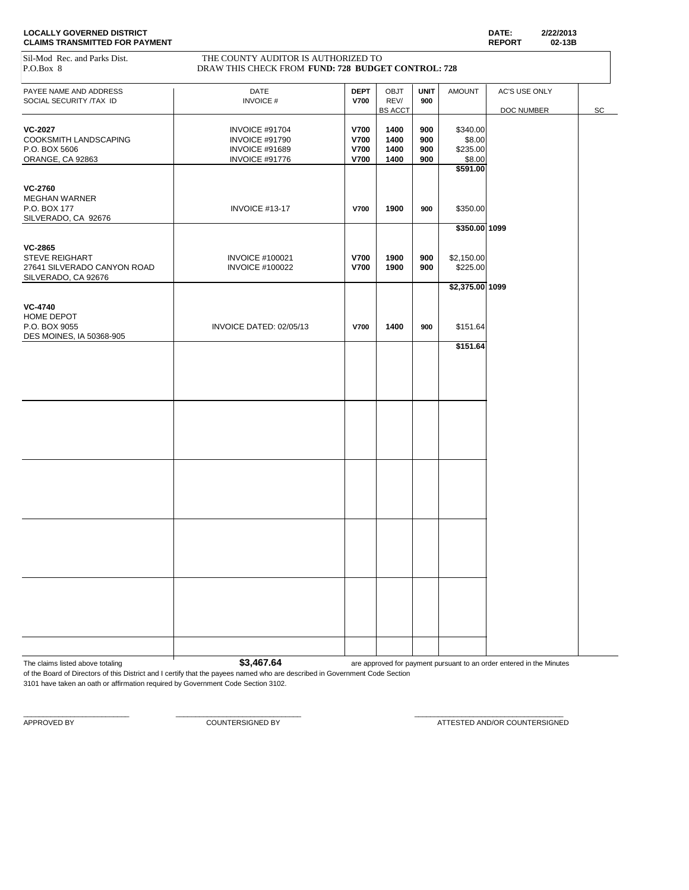Sil-Mod Rec. and Parks Dist. THE COUNTY AUDITOR IS AUTHORIZED TO

| P.O.Box 8                              | DRAW THIS CHECK FROM FUND: 728 BUDGET CONTROL: 728 |             |                        |             |                 |               |    |
|----------------------------------------|----------------------------------------------------|-------------|------------------------|-------------|-----------------|---------------|----|
| PAYEE NAME AND ADDRESS                 | DATE                                               | <b>DEPT</b> | <b>OBJT</b>            | <b>UNIT</b> | <b>AMOUNT</b>   | AC'S USE ONLY |    |
| SOCIAL SECURITY /TAX ID                | <b>INVOICE#</b>                                    | <b>V700</b> | REV/<br><b>BS ACCT</b> | 900         |                 | DOC NUMBER    | SC |
|                                        |                                                    |             |                        |             |                 |               |    |
| <b>VC-2027</b>                         | INVOICE #91704                                     | <b>V700</b> | 1400                   | 900         | \$340.00        |               |    |
| COOKSMITH LANDSCAPING                  | INVOICE #91790                                     | <b>V700</b> | 1400                   | 900         | \$8.00          |               |    |
| P.O. BOX 5606                          | <b>INVOICE #91689</b>                              | V700        | 1400                   | 900         | \$235.00        |               |    |
| ORANGE, CA 92863                       | INVOICE #91776                                     | <b>V700</b> | 1400                   | 900         | \$8.00          |               |    |
|                                        |                                                    |             |                        |             | \$591.00        |               |    |
|                                        |                                                    |             |                        |             |                 |               |    |
| <b>VC-2760</b><br><b>MEGHAN WARNER</b> |                                                    |             |                        |             |                 |               |    |
|                                        |                                                    |             |                        |             |                 |               |    |
| P.O. BOX 177                           | INVOICE #13-17                                     | V700        | 1900                   | 900         | \$350.00        |               |    |
| SILVERADO, CA 92676                    |                                                    |             |                        |             |                 |               |    |
|                                        |                                                    |             |                        |             | \$350.00 1099   |               |    |
| <b>VC-2865</b>                         |                                                    |             |                        |             |                 |               |    |
| <b>STEVE REIGHART</b>                  | <b>INVOICE #100021</b>                             | <b>V700</b> | 1900                   | 900         | \$2,150.00      |               |    |
| 27641 SILVERADO CANYON ROAD            | <b>INVOICE #100022</b>                             | V700        | 1900                   | 900         | \$225.00        |               |    |
| SILVERADO, CA 92676                    |                                                    |             |                        |             |                 |               |    |
|                                        |                                                    |             |                        |             | \$2,375.00 1099 |               |    |
|                                        |                                                    |             |                        |             |                 |               |    |
| <b>VC-4740</b>                         |                                                    |             |                        |             |                 |               |    |
| HOME DEPOT                             |                                                    |             |                        |             |                 |               |    |
| P.O. BOX 9055                          | INVOICE DATED: 02/05/13                            | <b>V700</b> | 1400                   | 900         | \$151.64        |               |    |
| DES MOINES, IA 50368-905               |                                                    |             |                        |             |                 |               |    |
|                                        |                                                    |             |                        |             | \$151.64        |               |    |
|                                        |                                                    |             |                        |             |                 |               |    |
|                                        |                                                    |             |                        |             |                 |               |    |
|                                        |                                                    |             |                        |             |                 |               |    |
|                                        |                                                    |             |                        |             |                 |               |    |
|                                        |                                                    |             |                        |             |                 |               |    |
|                                        |                                                    |             |                        |             |                 |               |    |
|                                        |                                                    |             |                        |             |                 |               |    |
|                                        |                                                    |             |                        |             |                 |               |    |
|                                        |                                                    |             |                        |             |                 |               |    |
|                                        |                                                    |             |                        |             |                 |               |    |
|                                        |                                                    |             |                        |             |                 |               |    |
|                                        |                                                    |             |                        |             |                 |               |    |
|                                        |                                                    |             |                        |             |                 |               |    |
|                                        |                                                    |             |                        |             |                 |               |    |
|                                        |                                                    |             |                        |             |                 |               |    |
|                                        |                                                    |             |                        |             |                 |               |    |
|                                        |                                                    |             |                        |             |                 |               |    |
|                                        |                                                    |             |                        |             |                 |               |    |
|                                        |                                                    |             |                        |             |                 |               |    |
|                                        |                                                    |             |                        |             |                 |               |    |
|                                        |                                                    |             |                        |             |                 |               |    |
|                                        |                                                    |             |                        |             |                 |               |    |
|                                        |                                                    |             |                        |             |                 |               |    |
|                                        |                                                    |             |                        |             |                 |               |    |
|                                        |                                                    |             |                        |             |                 |               |    |

The claims listed above totaling **1 \$3,467.64 are approved for payment pursuant to an order entered in the Minutes** 

of the Board of Directors of this District and I certify that the payees named who are described in Government Code Section 3101 have taken an oath or affirmation required by Government Code Section 3102.

 $\_$  , and the set of the set of the set of the set of the set of the set of the set of the set of the set of the set of the set of the set of the set of the set of the set of the set of the set of the set of the set of th

APPROVED BY **A PEROVED BY** COUNTERSIGNED BY **COUNTERSIGNED BY** ATTESTED AND/OR COUNTERSIGNED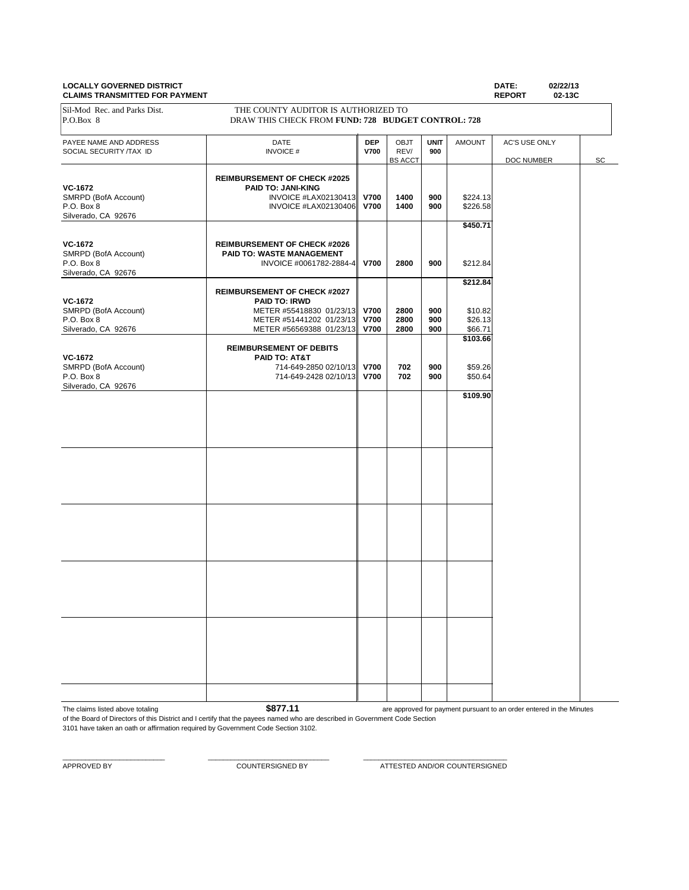#### **LOCALLY GOVERNED DISTRICT DATE: 02/22/13 CLAIMS TRANSMITTED FOR PAYMENT**

PAYEE NAME AND ADDRESS **DATE DEP** OBJT **UNIT** AMOUNT AC'S USE ONLY **DATE DEP** OBJT **UNIT** AMOUNT AC'S USE ONLY SOCIAL SECURITY /TAX ID **INVOICE # V700** REV/ 900<br>
BS ACCT DOC NUMBER SC **REIMBURSEMENT OF CHECK #2025 VC-1672**<br>
SMRPD (BofA Account) **PAID TO: JANI-KING**<br>
INVOICE #LAX02130413 SMRPD (BofA Account) INVOICE #LAX02130413 **V700 1400 900** \$224.13 P.O. Box 8 INVOICE #LAX02130406 **V700 1400 900** \$226.58 Silverado, CA 92676 **\$450.71 VC-1672 REIMBURSEMENT OF CHECK #2026**<br> **RAID TO: WASTE MANAGEMENT PAID TO: WASTE MANAGEMENT** P.O. Box 8 INVOICE #0061782-2884-4 **V700 2800 900** \$212.84 Silverado, CA 92676 **\$212.84 REIMBURSEMENT OF CHECK #2027 VC-1672 PAID TO: IRWD** SMRPD (BofA Account) METER #55418830 01/23/13 **V700** 2800 900 \$10.82<br>P.O. Box 8 **Discussed Burger Account** METER #51441202 01/23/13 **V700** 2800 900 \$26.13 P.O. Box 8 **METER #51441202 01/23/13 V700 2800 900** \$26.13<br>Silverado, CA 92676 **METER #56569388 01/23/13 V700 2800 900** \$66.71 METER #56569388 01/23/13 **\$103.66 REIMBURSEMENT OF DEBITS VC-1672 PAID TO: AT&T**<br>SMRPD (BofA Account) **PAID TO: AT&T** 714-649-2850 02/10/13 SMRPD (BofA Account) 714-649-2850 02/10/13 **V700 702 900 \$**59.26<br>P.O. Box 8 702 900 \$50.64 P.O. Box 8 714-649-2428 02/10/13 **V700 702 900** \$50.64 Silverado, CA 92676 **\$109.90** Sil-Mod Rec. and Parks Dist. THE COUNTY AUDITOR IS AUTHORIZED TO P.O.Box 8 DRAW THIS CHECK FROM **FUND: 728 BUDGET CONTROL: 728**

The claims listed above totaling **\$877.11** of the Board of Directors of this District and I certify that the payees named who are described in Government Code Section are approved for payment pursuant to an order entered in the Minutes

3101 have taken an oath or affirmation required by Government Code Section 3102.

 $\_$  , and the set of the set of the set of the set of the set of the set of the set of the set of the set of the set of the set of the set of the set of the set of the set of the set of the set of the set of the set of th

APPROVED BY COUNTERSIGNED BY ATTESTED AND/OR COUNTERSIGNED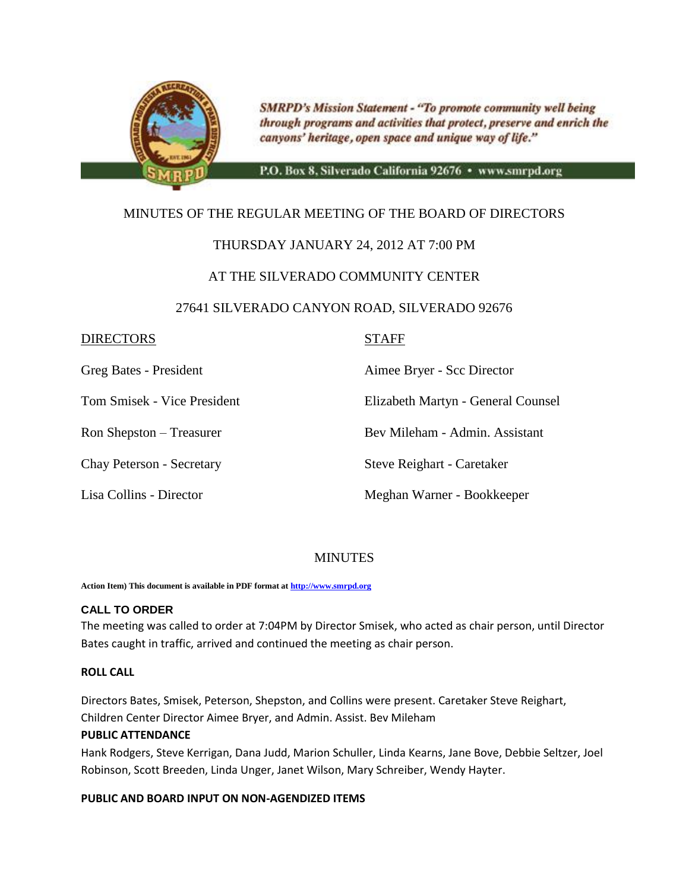

**SMRPD's Mission Statement - "To promote community well being** through programs and activities that protect, preserve and enrich the canyons' heritage, open space and unique way of life."

P.O. Box 8, Silverado California 92676 · www.smrpd.org

## MINUTES OF THE REGULAR MEETING OF THE BOARD OF DIRECTORS

## THURSDAY JANUARY 24, 2012 AT 7:00 PM

## AT THE SILVERADO COMMUNITY CENTER

### 27641 SILVERADO CANYON ROAD, SILVERADO 92676

### DIRECTORS STAFF

Greg Bates - President Aimee Bryer - Scc Director

Tom Smisek - Vice President Elizabeth Martyn - General Counsel

Ron Shepston – Treasurer Bev Mileham - Admin. Assistant

Chay Peterson - Secretary Steve Reighart - Caretaker

Lisa Collins - Director Meghan Warner - Bookkeeper

### **MINUTES**

**Action Item) This document is available in PDF format a[t http://www.smrpd.org](http://www.smrpd.org/)**

#### **CALL TO ORDER**

The meeting was called to order at 7:04PM by Director Smisek, who acted as chair person, until Director Bates caught in traffic, arrived and continued the meeting as chair person.

#### **ROLL CALL**

Directors Bates, Smisek, Peterson, Shepston, and Collins were present. Caretaker Steve Reighart, Children Center Director Aimee Bryer, and Admin. Assist. Bev Mileham

#### **PUBLIC ATTENDANCE**

Hank Rodgers, Steve Kerrigan, Dana Judd, Marion Schuller, Linda Kearns, Jane Bove, Debbie Seltzer, Joel Robinson, Scott Breeden, Linda Unger, Janet Wilson, Mary Schreiber, Wendy Hayter.

#### **PUBLIC AND BOARD INPUT ON NON-AGENDIZED ITEMS**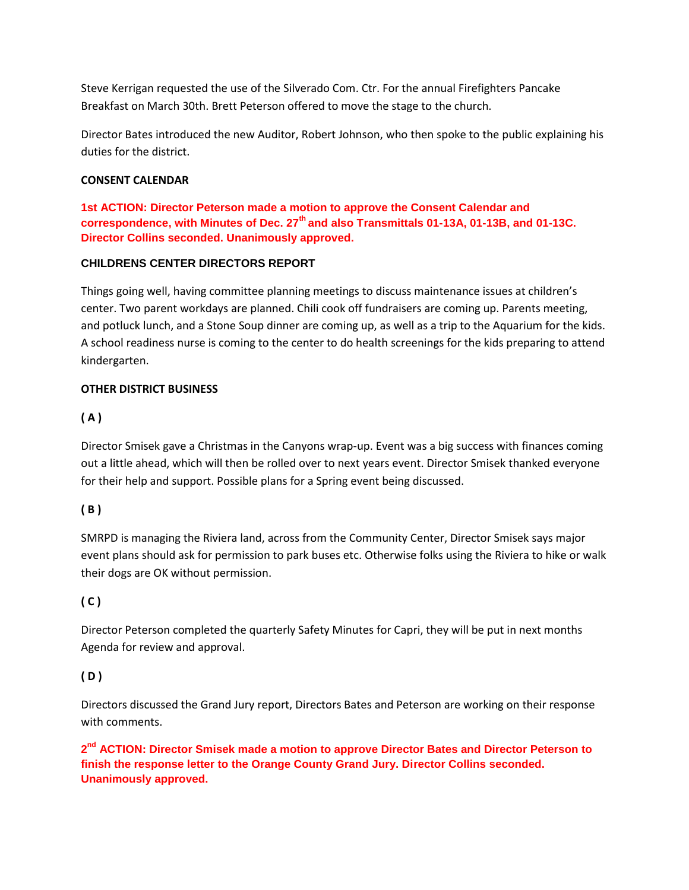Steve Kerrigan requested the use of the Silverado Com. Ctr. For the annual Firefighters Pancake Breakfast on March 30th. Brett Peterson offered to move the stage to the church.

Director Bates introduced the new Auditor, Robert Johnson, who then spoke to the public explaining his duties for the district.

#### **CONSENT CALENDAR**

**1st ACTION: Director Peterson made a motion to approve the Consent Calendar and correspondence, with Minutes of Dec. 27th and also Transmittals 01-13A, 01-13B, and 01-13C. Director Collins seconded. Unanimously approved.**

#### **CHILDRENS CENTER DIRECTORS REPORT**

Things going well, having committee planning meetings to discuss maintenance issues at children's center. Two parent workdays are planned. Chili cook off fundraisers are coming up. Parents meeting, and potluck lunch, and a Stone Soup dinner are coming up, as well as a trip to the Aquarium for the kids. A school readiness nurse is coming to the center to do health screenings for the kids preparing to attend kindergarten.

#### **OTHER DISTRICT BUSINESS**

### **( A )**

Director Smisek gave a Christmas in the Canyons wrap-up. Event was a big success with finances coming out a little ahead, which will then be rolled over to next years event. Director Smisek thanked everyone for their help and support. Possible plans for a Spring event being discussed.

### **( B )**

SMRPD is managing the Riviera land, across from the Community Center, Director Smisek says major event plans should ask for permission to park buses etc. Otherwise folks using the Riviera to hike or walk their dogs are OK without permission.

### **( C )**

Director Peterson completed the quarterly Safety Minutes for Capri, they will be put in next months Agenda for review and approval.

### **( D )**

Directors discussed the Grand Jury report, Directors Bates and Peterson are working on their response with comments.

2<sup>nd</sup> ACTION: Director Smisek made a motion to approve Director Bates and Director Peterson to **finish the response letter to the Orange County Grand Jury. Director Collins seconded. Unanimously approved.**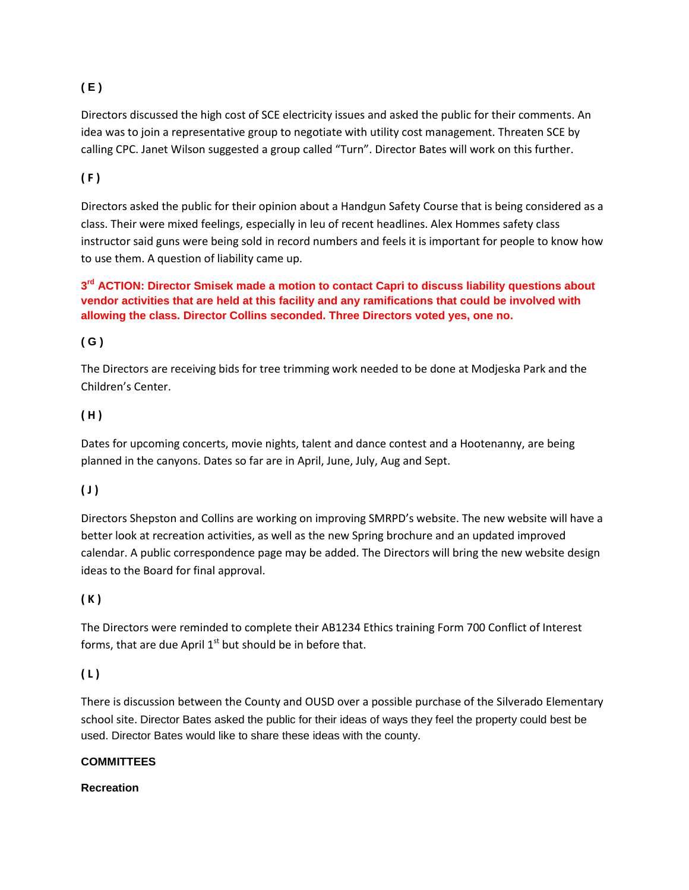## **( E )**

Directors discussed the high cost of SCE electricity issues and asked the public for their comments. An idea was to join a representative group to negotiate with utility cost management. Threaten SCE by calling CPC. Janet Wilson suggested a group called "Turn". Director Bates will work on this further.

## **( F )**

Directors asked the public for their opinion about a Handgun Safety Course that is being considered as a class. Their were mixed feelings, especially in leu of recent headlines. Alex Hommes safety class instructor said guns were being sold in record numbers and feels it is important for people to know how to use them. A question of liability came up.

## **3 rd ACTION: Director Smisek made a motion to contact Capri to discuss liability questions about vendor activities that are held at this facility and any ramifications that could be involved with allowing the class. Director Collins seconded. Three Directors voted yes, one no.**

## **( G )**

The Directors are receiving bids for tree trimming work needed to be done at Modjeska Park and the Children's Center.

## **( H )**

Dates for upcoming concerts, movie nights, talent and dance contest and a Hootenanny, are being planned in the canyons. Dates so far are in April, June, July, Aug and Sept.

## **( J )**

Directors Shepston and Collins are working on improving SMRPD's website. The new website will have a better look at recreation activities, as well as the new Spring brochure and an updated improved calendar. A public correspondence page may be added. The Directors will bring the new website design ideas to the Board for final approval.

## **( K )**

The Directors were reminded to complete their AB1234 Ethics training Form 700 Conflict of Interest forms, that are due April  $1<sup>st</sup>$  but should be in before that.

## **( L )**

There is discussion between the County and OUSD over a possible purchase of the Silverado Elementary school site. Director Bates asked the public for their ideas of ways they feel the property could best be used. Director Bates would like to share these ideas with the county.

### **COMMITTEES**

### **Recreation**